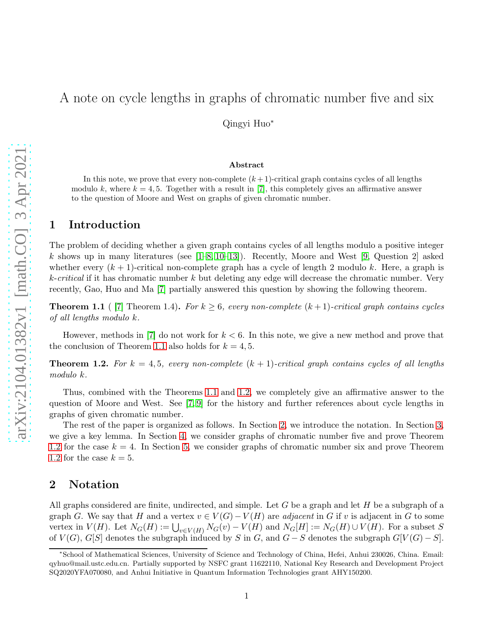# A note on cycle lengths in graphs of chromatic number five and six

Qingyi Huo<sup>∗</sup>

#### Abstract

In this note, we prove that every non-complete  $(k+1)$ -critical graph contains cycles of all lengths modulo k, where  $k = 4, 5$ . Together with a result in [\[7\]](#page-10-0), this completely gives an affirmative answer to the question of Moore and West on graphs of given chromatic number.

#### 1 Introduction

The problem of deciding whether a given graph contains cycles of all lengths modulo a positive integer k shows up in many literatures (see  $[1–8, 10–13]$  $[1–8, 10–13]$  $[1–8, 10–13]$  $[1–8, 10–13]$ ). Recently, Moore and West [\[9,](#page-10-4) Question 2] asked whether every  $(k + 1)$ -critical non-complete graph has a cycle of length 2 modulo k. Here, a graph is  $k\text{-}critical$  if it has chromatic number k but deleting any edge will decrease the chromatic number. Very recently, Gao, Huo and Ma [\[7\]](#page-10-0) partially answered this question by showing the following theorem.

<span id="page-0-0"></span>**Theorem 1.1** ( [\[7\]](#page-10-0) Theorem 1.4). For  $k \geq 6$ , every non-complete  $(k+1)$ -critical graph contains cycles of all lengths modulo k.

However, methods in  $|7|$  do not work for  $k < 6$ . In this note, we give a new method and prove that the conclusion of Theorem [1.1](#page-0-0) also holds for  $k = 4, 5$ .

<span id="page-0-1"></span>**Theorem 1.2.** For  $k = 4, 5$ , every non-complete  $(k + 1)$ -critical graph contains cycles of all lengths modulo k.

Thus, combined with the Theorems [1.1](#page-0-0) and [1.2,](#page-0-1) we completely give an affirmative answer to the question of Moore and West. See [\[7,](#page-10-0) [9\]](#page-10-4) for the history and further references about cycle lengths in graphs of given chromatic number.

The rest of the paper is organized as follows. In Section [2,](#page-0-2) we introduce the notation. In Section [3,](#page-1-0) we give a key lemma. In Section [4,](#page-4-0) we consider graphs of chromatic number five and prove Theorem [1.2](#page-0-1) for the case  $k = 4$ . In Section [5,](#page-5-0) we consider graphs of chromatic number six and prove Theorem [1.2](#page-0-1) for the case  $k = 5$ .

### <span id="page-0-2"></span>2 Notation

All graphs considered are finite, undirected, and simple. Let  $G$  be a graph and let  $H$  be a subgraph of a graph G. We say that H and a vertex  $v \in V(G) - V(H)$  are *adjacent* in G if v is adjacent in G to some vertex in  $V(H)$ . Let  $N_G(H) := \bigcup_{v \in V(H)} N_G(v) - V(H)$  and  $N_G[H] := N_G(H) \cup V(H)$ . For a subset S of  $V(G)$ ,  $G[S]$  denotes the subgraph induced by S in G, and  $G-S$  denotes the subgraph  $G[V(G) - S]$ .

<sup>∗</sup> School of Mathematical Sciences, University of Science and Technology of China, Hefei, Anhui 230026, China. Email: qyhuo@mail.ustc.edu.cn. Partially supported by NSFC grant 11622110, National Key Research and Development Project SQ2020YFA070080, and Anhui Initiative in Quantum Information Technologies grant AHY150200.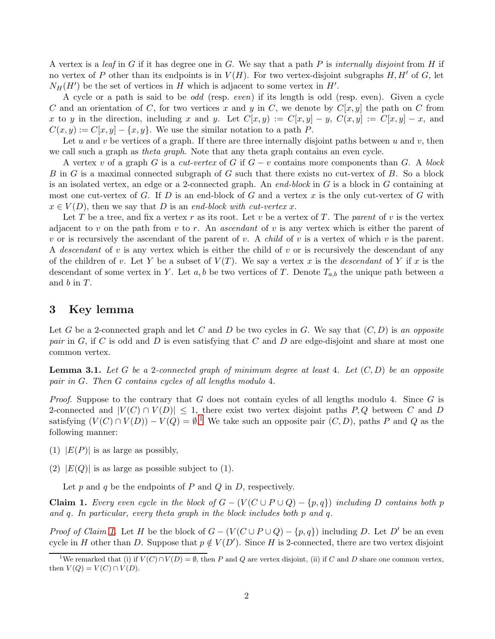A vertex is a leaf in G if it has degree one in G. We say that a path P is internally disjoint from H if no vertex of P other than its endpoints is in  $V(H)$ . For two vertex-disjoint subgraphs H, H' of G, let  $N_H(H')$  be the set of vertices in H which is adjacent to some vertex in H'.

A cycle or a path is said to be odd (resp. even) if its length is odd (resp. even). Given a cycle C and an orientation of C, for two vertices x and y in C, we denote by  $C[x, y]$  the path on C from x to y in the direction, including x and y. Let  $C[x, y) := C[x, y] - y$ ,  $C(x, y) := C[x, y] - x$ , and  $C(x, y) := C[x, y] - \{x, y\}.$  We use the similar notation to a path P.

Let u and v be vertices of a graph. If there are three internally disjoint paths between u and v, then we call such a graph as *theta graph*. Note that any theta graph contains an even cycle.

A vertex v of a graph G is a cut-vertex of G if  $G - v$  contains more components than G. A block B in G is a maximal connected subgraph of G such that there exists no cut-vertex of B. So a block is an isolated vertex, an edge or a 2-connected graph. An end-block in  $G$  is a block in  $G$  containing at most one cut-vertex of G. If D is an end-block of G and a vertex x is the only cut-vertex of G with  $x \in V(D)$ , then we say that D is an end-block with cut-vertex x.

Let T be a tree, and fix a vertex r as its root. Let v be a vertex of T. The parent of v is the vertex adjacent to v on the path from v to r. An *ascendant* of v is any vertex which is either the parent of v or is recursively the ascendant of the parent of v. A *child* of v is a vertex of which v is the parent. A descendant of v is any vertex which is either the child of v or is recursively the descendant of any of the children of v. Let Y be a subset of  $V(T)$ . We say a vertex x is the *descendant* of Y if x is the descendant of some vertex in Y. Let a, b be two vertices of T. Denote  $T_{a,b}$  the unique path between a and b in T.

### <span id="page-1-0"></span>3 Key lemma

Let G be a 2-connected graph and let C and D be two cycles in G. We say that  $(C, D)$  is an opposite pair in  $G$ , if  $C$  is odd and  $D$  is even satisfying that  $C$  and  $D$  are edge-disjoint and share at most one common vertex.

<span id="page-1-3"></span>**Lemma 3.1.** Let G be a 2-connected graph of minimum degree at least 4. Let  $(C, D)$  be an opposite pair in G. Then G contains cycles of all lengths modulo 4.

*Proof.* Suppose to the contrary that G does not contain cycles of all lengths modulo 4. Since G is 2-connected and  $|V(C) \cap V(D)| \leq 1$ , there exist two vertex disjoint paths P, Q between C and D satisfying  $(V(C) \cap V(D)) - V(Q) = \emptyset$ .<sup>[1](#page-1-1)</sup> We take such an opposite pair  $(C, D)$ , paths P and Q as the following manner:

- (1)  $|E(P)|$  is as large as possibly,
- (2)  $|E(Q)|$  is as large as possible subject to (1).

Let  $p$  and  $q$  be the endpoints of  $P$  and  $Q$  in  $D$ , respectively.

<span id="page-1-2"></span>**Claim 1.** Every even cycle in the block of  $G - (V(C \cup P \cup Q) - \{p, q\})$  including D contains both p and q. In particular, every theta graph in the block includes both p and q.

*Proof of Claim [1.](#page-1-2)* Let H be the block of  $G - (V(C \cup P \cup Q) - \{p, q\})$  including D. Let D' be an even cycle in H other than D. Suppose that  $p \notin V(D')$ . Since H is 2-connected, there are two vertex disjoint

<span id="page-1-1"></span><sup>&</sup>lt;sup>1</sup>We remarked that (i) if  $V(C) \cap V(D) = \emptyset$ , then P and Q are vertex disjoint, (ii) if C and D share one common vertex, then  $V(Q) = V(C) \cap V(D)$ .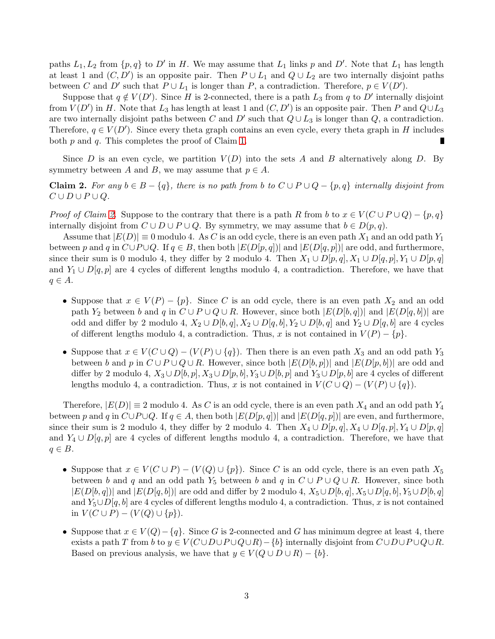paths  $L_1, L_2$  from  $\{p, q\}$  to D' in H. We may assume that  $L_1$  links p and D'. Note that  $L_1$  has length at least 1 and  $(C, D')$  is an opposite pair. Then  $P \cup L_1$  and  $Q \cup L_2$  are two internally disjoint paths between C and D' such that  $P \cup L_1$  is longer than P, a contradiction. Therefore,  $p \in V(D')$ .

Suppose that  $q \notin V(D')$ . Since H is 2-connected, there is a path  $L_3$  from q to D' internally disjoint from  $V(D')$  in H. Note that  $L_3$  has length at least 1 and  $(C, D')$  is an opposite pair. Then P and  $Q \cup L_3$ are two internally disjoint paths between C and D' such that  $Q \cup L_3$  is longer than Q, a contradiction. Therefore,  $q \in V(D')$ . Since every theta graph contains an even cycle, every theta graph in H includes both  $p$  and  $q$ . This completes the proof of Claim [1.](#page-1-2)

Since D is an even cycle, we partition  $V(D)$  into the sets A and B alternatively along D. By symmetry between A and B, we may assume that  $p \in A$ .

<span id="page-2-0"></span>**Claim 2.** For any  $b \in B - \{q\}$ , there is no path from b to  $C \cup P \cup Q - \{p,q\}$  internally disjoint from  $C \cup D \cup P \cup Q$ .

*Proof of Claim [2.](#page-2-0)* Suppose to the contrary that there is a path R from b to  $x \in V(C \cup P \cup Q) - \{p, q\}$ internally disjoint from  $C \cup D \cup P \cup Q$ . By symmetry, we may assume that  $b \in D(p,q)$ .

Assume that  $|E(D)| \equiv 0$  modulo 4. As C is an odd cycle, there is an even path  $X_1$  and an odd path  $Y_1$ between p and q in  $C\cup P\cup Q$ . If  $q\in B$ , then both  $|E(D[p,q])|$  and  $|E(D[q,p])|$  are odd, and furthermore, since their sum is 0 modulo 4, they differ by 2 modulo 4. Then  $X_1 \cup D[p,q], X_1 \cup D[q,p], Y_1 \cup D[p,q]$ and  $Y_1 \cup D[q, p]$  are 4 cycles of different lengths modulo 4, a contradiction. Therefore, we have that  $q \in A$ .

- Suppose that  $x \in V(P) \{p\}$ . Since C is an odd cycle, there is an even path  $X_2$  and an odd path  $Y_2$  between b and q in  $C \cup P \cup Q \cup R$ . However, since both  $|E(D[b,q])|$  and  $|E(D[q,b])|$  are odd and differ by 2 modulo 4,  $X_2 \cup D[b, q], X_2 \cup D[q, b], Y_2 \cup D[b, q]$  and  $Y_2 \cup D[q, b]$  are 4 cycles of different lengths modulo 4, a contradiction. Thus, x is not contained in  $V(P) - \{p\}$ .
- Suppose that  $x \in V(C \cup Q) (V(P) \cup \{q\})$ . Then there is an even path  $X_3$  and an odd path  $Y_3$ between b and p in  $C \cup P \cup Q \cup R$ . However, since both  $|E(D[b, p])|$  and  $|E(D[p, b])|$  are odd and differ by 2 modulo 4,  $X_3 \cup D[b, p], X_3 \cup D[p, b], Y_3 \cup D[b, p]$  and  $Y_3 \cup D[p, b]$  are 4 cycles of different lengths modulo 4, a contradiction. Thus, x is not contained in  $V(C \cup Q) - (V(P) \cup \{q\})$ .

Therefore,  $|E(D)| \equiv 2$  modulo 4. As C is an odd cycle, there is an even path  $X_4$  and an odd path  $Y_4$ between p and q in  $C\cup P\cup Q$ . If  $q \in A$ , then both  $|E(D[p, q])|$  and  $|E(D[q, p])|$  are even, and furthermore, since their sum is 2 modulo 4, they differ by 2 modulo 4. Then  $X_4 \cup D[p,q], X_4 \cup D[q,p], Y_4 \cup D[p,q]$ and  $Y_4 \cup D[q, p]$  are 4 cycles of different lengths modulo 4, a contradiction. Therefore, we have that  $q \in B$ .

- Suppose that  $x \in V(C \cup P) (V(Q) \cup \{p\})$ . Since C is an odd cycle, there is an even path  $X_5$ between b and q and an odd path  $Y_5$  between b and q in  $C \cup P \cup Q \cup R$ . However, since both  $|E(D[b, q])|$  and  $|E(D[q, b])|$  are odd and differ by 2 modulo 4,  $X_5 \cup D[b, q], X_5 \cup D[q, b], Y_5 \cup D[b, q]$ and  $Y_5 \cup D[q, b]$  are 4 cycles of different lengths modulo 4, a contradiction. Thus, x is not contained in  $V(C \cup P) - (V(Q) \cup \{p\}).$
- Suppose that  $x \in V(Q) \{q\}$ . Since G is 2-connected and G has minimum degree at least 4, there exists a path T from b to  $y \in V(C \cup D \cup P \cup Q \cup R) - \{b\}$  internally disjoint from  $C \cup D \cup P \cup Q \cup R$ . Based on previous analysis, we have that  $y \in V(Q \cup D \cup R) - \{b\}.$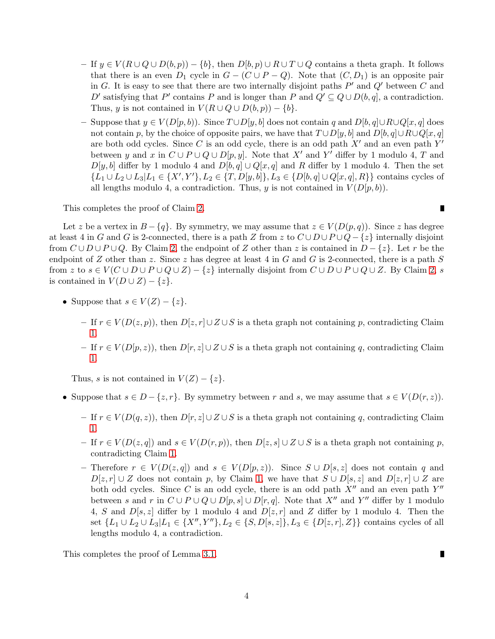- If  $y \in V(R \cup Q \cup D(b, p)) \{b\}$ , then  $D[b, p) \cup R \cup T \cup Q$  contains a theta graph. It follows that there is an even  $D_1$  cycle in  $G - (C \cup P - Q)$ . Note that  $(C, D_1)$  is an opposite pair in G. It is easy to see that there are two internally disjoint paths  $P'$  and  $Q'$  between C and D' satisfying that P' contains P and is longer than P and  $Q' \subseteq Q \cup D(b, q]$ , a contradiction. Thus, y is not contained in  $V(R\cup Q\cup D(b,p)) - \{b\}.$
- Suppose that  $y \in V(D[p, b])$ . Since  $T \cup D[y, b]$  does not contain q and  $D[b, q] \cup R \cup Q[x, q]$  does not contain p, by the choice of opposite pairs, we have that  $T \cup D[y, b]$  and  $D[b, q] \cup R \cup Q[x, q]$ are both odd cycles. Since C is an odd cycle, there is an odd path  $X'$  and an even path  $Y'$ between y and x in  $C \cup P \cup Q \cup D[p, y]$ . Note that X' and Y' differ by 1 modulo 4, T and  $D[y, b]$  differ by 1 modulo 4 and  $D[b, q] \cup Q[x, q]$  and R differ by 1 modulo 4. Then the set  $\{L_1 \cup L_2 \cup L_3 | L_1 \in \{X', Y'\}, L_2 \in \{T, D[y, b]\}, L_3 \in \{D[b, q] \cup Q[x, q], R\}\}\)$  contains cycles of all lengths modulo 4, a contradiction. Thus, y is not contained in  $V(D[p, b))$ .

This completes the proof of Claim [2.](#page-2-0)

 $\blacksquare$ 

Let z be a vertex in  $B - \{q\}$ . By symmetry, we may assume that  $z \in V(D(p,q))$ . Since z has degree at least 4 in G and G is 2-connected, there is a path Z from z to  $C \cup D \cup P \cup Q - \{z\}$  internally disjoint from  $C \cup D \cup P \cup Q$ . By Claim [2,](#page-2-0) the endpoint of Z other than z is contained in  $D - \{z\}$ . Let r be the endpoint of Z other than z. Since z has degree at least 4 in G and G is 2-connected, there is a path S from z to  $s \in V(C \cup D \cup P \cup Q \cup Z) - \{z\}$  internally disjoint from  $C \cup D \cup P \cup Q \cup Z$ . By Claim [2,](#page-2-0) s is contained in  $V(D \cup Z) - \{z\}.$ 

- Suppose that  $s \in V(Z) \{z\}.$ 
	- If  $r \in V(D(z, p))$ , then  $D[z, r] \cup Z \cup S$  is a theta graph not containing p, contradicting Claim [1.](#page-1-2)
	- If  $r \in V(D[p, z))$ , then  $D[r, z] \cup Z \cup S$  is a theta graph not containing q, contradicting Claim [1.](#page-1-2)

Thus, s is not contained in  $V(Z) - \{z\}.$ 

- Suppose that  $s \in D \{z, r\}$ . By symmetry between r and s, we may assume that  $s \in V(D(r, z))$ .
	- If  $r \in V(D(q, z))$ , then  $D[r, z] \cup Z \cup S$  is a theta graph not containing q, contradicting Claim [1.](#page-1-2)
	- If  $r \in V(D(z,q))$  and  $s \in V(D(r,p))$ , then  $D[z,s] \cup Z \cup S$  is a theta graph not containing p, contradicting Claim [1.](#page-1-2)
	- Therefore  $r \in V(D(z,q))$  and  $s \in V(D(p,z))$ . Since  $S \cup D[s,z]$  does not contain q and  $D[z, r] \cup Z$  does not contain p, by Claim [1,](#page-1-2) we have that  $S \cup D[s, z]$  and  $D[z, r] \cup Z$  are both odd cycles. Since C is an odd cycle, there is an odd path  $X''$  and an even path  $Y''$ between s and r in  $C \cup P \cup Q \cup D[p, s] \cup D[r, q]$ . Note that  $X''$  and  $Y''$  differ by 1 modulo 4, S and  $D[s, z]$  differ by 1 modulo 4 and  $D[z, r]$  and Z differ by 1 modulo 4. Then the set  $\{L_1 \cup L_2 \cup L_3 | L_1 \in \{X'', Y''\}, L_2 \in \{S, D[s, z]\}, L_3 \in \{D[z, r], Z\}\}\)$  contains cycles of all lengths modulo 4, a contradiction.

This completes the proof of Lemma [3.1.](#page-1-3)

 $\blacksquare$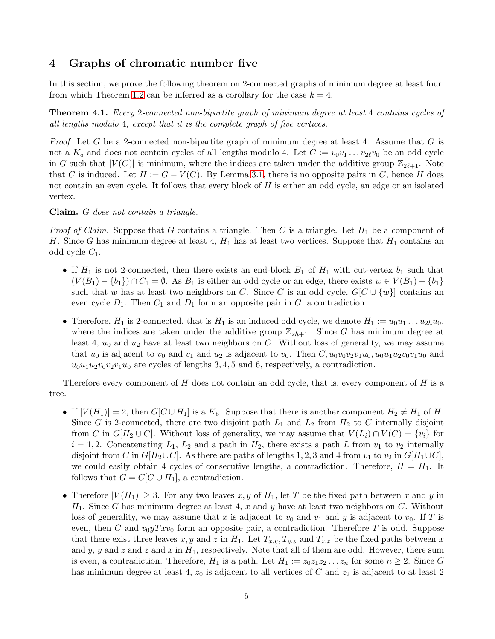## <span id="page-4-0"></span>4 Graphs of chromatic number five

In this section, we prove the following theorem on 2-connected graphs of minimum degree at least four, from which Theorem [1.2](#page-0-1) can be inferred as a corollary for the case  $k = 4$ .

<span id="page-4-1"></span>Theorem 4.1. Every 2-connected non-bipartite graph of minimum degree at least 4 contains cycles of all lengths modulo 4, except that it is the complete graph of five vertices.

*Proof.* Let G be a 2-connected non-bipartite graph of minimum degree at least 4. Assume that G is not a  $K_5$  and does not contain cycles of all lengths modulo 4. Let  $C := v_0v_1 \ldots v_{2\ell}v_0$  be an odd cycle in G such that  $|V(C)|$  is minimum, where the indices are taken under the additive group  $\mathbb{Z}_{2\ell+1}$ . Note that C is induced. Let  $H := G - V(C)$ . By Lemma [3.1,](#page-1-3) there is no opposite pairs in G, hence H does not contain an even cycle. It follows that every block of  $H$  is either an odd cycle, an edge or an isolated vertex.

Claim. G does not contain a triangle.

*Proof of Claim.* Suppose that G contains a triangle. Then C is a triangle. Let  $H_1$  be a component of H. Since G has minimum degree at least 4,  $H_1$  has at least two vertices. Suppose that  $H_1$  contains an odd cycle  $C_1$ .

- If  $H_1$  is not 2-connected, then there exists an end-block  $B_1$  of  $H_1$  with cut-vertex  $b_1$  such that  $(V(B_1) - \{b_1\}) \cap C_1 = \emptyset$ . As  $B_1$  is either an odd cycle or an edge, there exists  $w \in V(B_1) - \{b_1\}$ such that w has at least two neighbors on C. Since C is an odd cycle,  $G[C \cup \{w\}]$  contains an even cycle  $D_1$ . Then  $C_1$  and  $D_1$  form an opposite pair in  $G$ , a contradiction.
- Therefore,  $H_1$  is 2-connected, that is  $H_1$  is an induced odd cycle, we denote  $H_1 := u_0u_1 \ldots u_{2h}u_0$ , where the indices are taken under the additive group  $\mathbb{Z}_{2h+1}$ . Since G has minimum degree at least 4,  $u_0$  and  $u_2$  have at least two neighbors on C. Without loss of generality, we may assume that  $u_0$  is adjacent to  $v_0$  and  $v_1$  and  $u_2$  is adjacent to  $v_0$ . Then  $C, u_0v_0v_2v_1u_0, u_0u_1u_2v_0v_1u_0$  and  $u_0u_1u_2v_0v_2v_1u_0$  are cycles of lengths 3, 4, 5 and 6, respectively, a contradiction.

Therefore every component of  $H$  does not contain an odd cycle, that is, every component of  $H$  is a tree.

- If  $|V(H_1)| = 2$ , then  $G[C \cup H_1]$  is a  $K_5$ . Suppose that there is another component  $H_2 \neq H_1$  of H. Since G is 2-connected, there are two disjoint path  $L_1$  and  $L_2$  from  $H_2$  to C internally disjoint from C in  $G[H_2 \cup C]$ . Without loss of generality, we may assume that  $V(L_i) \cap V(C) = \{v_i\}$  for  $i = 1, 2$ . Concatenating  $L_1$ ,  $L_2$  and a path in  $H_2$ , there exists a path L from  $v_1$  to  $v_2$  internally disjoint from C in  $G[H_2\cup C]$ . As there are paths of lengths 1, 2, 3 and 4 from  $v_1$  to  $v_2$  in  $G[H_1\cup C]$ , we could easily obtain 4 cycles of consecutive lengths, a contradiction. Therefore,  $H = H<sub>1</sub>$ . It follows that  $G = G[C \cup H_1]$ , a contradiction.
- Therefore  $|V(H_1)| \geq 3$ . For any two leaves  $x, y$  of  $H_1$ , let T be the fixed path between x and y in  $H_1$ . Since G has minimum degree at least 4, x and y have at least two neighbors on C. Without loss of generality, we may assume that x is adjacent to  $v_0$  and  $v_1$  and y is adjacent to  $v_0$ . If T is even, then C and  $v_0yTxv_0$  form an opposite pair, a contradiction. Therefore T is odd. Suppose that there exist three leaves x, y and z in  $H_1$ . Let  $T_{x,y}, T_{y,z}$  and  $T_{z,x}$  be the fixed paths between x and y, y and z and z and x in  $H_1$ , respectively. Note that all of them are odd. However, there sum is even, a contradiction. Therefore,  $H_1$  is a path. Let  $H_1 := z_0 z_1 z_2 \ldots z_n$  for some  $n \geq 2$ . Since G has minimum degree at least 4,  $z_0$  is adjacent to all vertices of  $C$  and  $z_2$  is adjacent to at least 2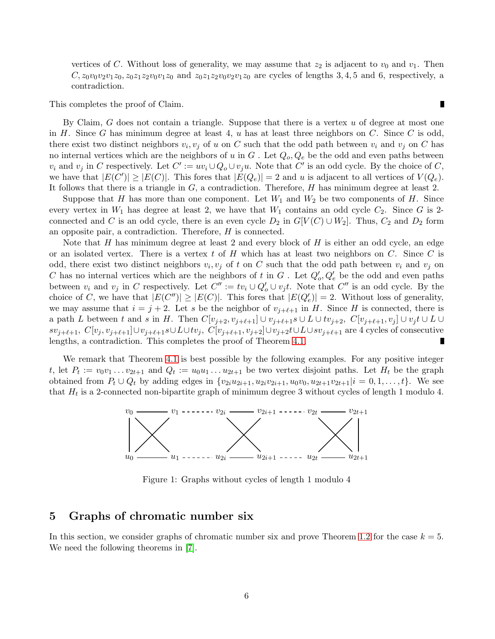vertices of C. Without loss of generality, we may assume that  $z_2$  is adjacent to  $v_0$  and  $v_1$ . Then  $C, z_0v_0v_2v_1z_0, z_0z_1z_2v_0v_1z_0$  and  $z_0z_1z_2v_0v_2v_1z_0$  are cycles of lengths 3, 4, 5 and 6, respectively, a contradiction.

This completes the proof of Claim.

By Claim, G does not contain a triangle. Suppose that there is a vertex u of degree at most one in H. Since G has minimum degree at least 4, u has at least three neighbors on C. Since C is odd, there exist two distinct neighbors  $v_i, v_j$  of u on C such that the odd path between  $v_i$  and  $v_j$  on C has no internal vertices which are the neighbors of u in  $G$ . Let  $Q_o, Q_e$  be the odd and even paths between  $v_i$  and  $v_j$  in C respectively. Let  $C' := uv_i \cup Q_o \cup v_ju$ . Note that C' is an odd cycle. By the choice of C, we have that  $|E(C')|\geq |E(C)|$ . This fores that  $|E(Q_e)|=2$  and u is adjacent to all vertices of  $V(Q_e)$ . It follows that there is a triangle in  $G$ , a contradiction. Therefore,  $H$  has minimum degree at least 2.

Suppose that H has more than one component. Let  $W_1$  and  $W_2$  be two components of H. Since every vertex in  $W_1$  has degree at least 2, we have that  $W_1$  contains an odd cycle  $C_2$ . Since G is 2connected and C is an odd cycle, there is an even cycle  $D_2$  in  $G[V(C) \cup W_2]$ . Thus,  $C_2$  and  $D_2$  form an opposite pair, a contradiction. Therefore, H is connected.

Note that  $H$  has minimum degree at least 2 and every block of  $H$  is either an odd cycle, an edge or an isolated vertex. There is a vertex t of  $H$  which has at least two neighbors on  $C$ . Since  $C$  is odd, there exist two distinct neighbors  $v_i, v_j$  of t on C such that the odd path between  $v_i$  and  $v_j$  on C has no internal vertices which are the neighbors of t in G. Let  $Q'_{o}, Q'_{e}$  be the odd and even paths between  $v_i$  and  $v_j$  in C respectively. Let  $C'' := tv_i \cup Q'_o \cup v_jt$ . Note that  $C''$  is an odd cycle. By the choice of C, we have that  $|E(C'')| \ge |E(C)|$ . This fores that  $|E(Q'_{e})| = 2$ . Without loss of generality, we may assume that  $i = j + 2$ . Let s be the neighbor of  $v_{j+\ell+1}$  in H. Since H is connected, there is a path L between t and s in H. Then  $C[v_{j+2}, v_{j+\ell+1}] \cup v_{j+\ell+1} s \cup L \cup tv_{j+2}, C[v_{j+\ell+1}, v_j] \cup v_j t \cup L \cup$  $sv_{j+\ell+1}, C[v_j, v_{j+\ell+1}]\cup v_{j+\ell+1} s\cup L\cup tv_j, C[v_{j+\ell+1}, v_{j+2}]\cup v_{j+2} t\cup L\cup sv_{j+\ell+1}$  are 4 cycles of consecutive lengths, a contradiction. This completes the proof of Theorem [4.1.](#page-4-1) П

We remark that Theorem [4.1](#page-4-1) is best possible by the following examples. For any positive integer t, let  $P_t := v_0v_1 \ldots v_{2t+1}$  and  $Q_t := u_0u_1 \ldots u_{2t+1}$  be two vertex disjoint paths. Let  $H_t$  be the graph obtained from  $P_t \cup Q_t$  by adding edges in  $\{v_{2i}u_{2i+1}, u_{2i}v_{2i+1}, u_0v_0, u_{2t+1}v_{2t+1} | i = 0, 1, ..., t\}$ . We see that  $H_t$  is a 2-connected non-bipartite graph of minimum degree 3 without cycles of length 1 modulo 4.



Figure 1: Graphs without cycles of length 1 modulo 4

### <span id="page-5-0"></span>5 Graphs of chromatic number six

In this section, we consider graphs of chromatic number six and prove Theorem [1.2](#page-0-1) for the case  $k = 5$ . We need the following theorems in [\[7\]](#page-10-0).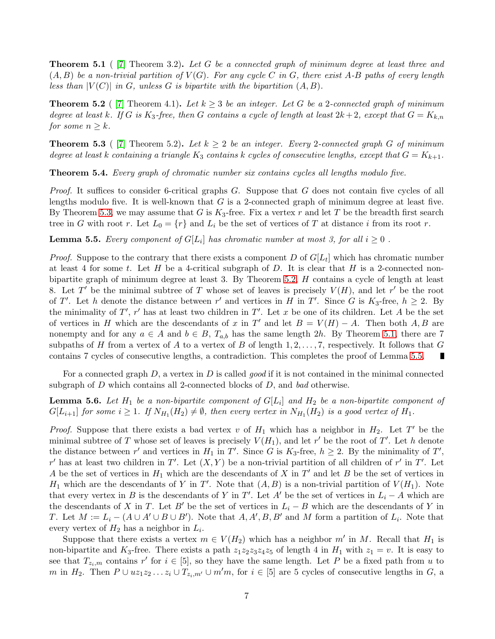<span id="page-6-2"></span>**Theorem 5.1** (  $\begin{bmatrix} 7 \end{bmatrix}$  Theorem 3.2). Let G be a connected graph of minimum degree at least three and  $(A, B)$  be a non-trivial partition of  $V(G)$ . For any cycle C in G, there exist A-B paths of every length less than  $|V(C)|$  in G, unless G is bipartite with the bipartition  $(A, B)$ .

<span id="page-6-1"></span>**Theorem 5.2** ( [\[7\]](#page-10-0) Theorem 4.1). Let  $k \geq 3$  be an integer. Let G be a 2-connected graph of minimum degree at least k. If G is K<sub>3</sub>-free, then G contains a cycle of length at least  $2k+2$ , except that  $G = K_{k,n}$ for some  $n \geq k$ .

<span id="page-6-0"></span>**Theorem 5.3** ( [\[7\]](#page-10-0) Theorem 5.2). Let  $k \geq 2$  be an integer. Every 2-connected graph G of minimum degree at least k containing a triangle  $K_3$  contains k cycles of consecutive lengths, except that  $G = K_{k+1}$ .

<span id="page-6-5"></span>Theorem 5.4. Every graph of chromatic number six contains cycles all lengths modulo five.

Proof. It suffices to consider 6-critical graphs G. Suppose that G does not contain five cycles of all lengths modulo five. It is well-known that  $G$  is a 2-connected graph of minimum degree at least five. By Theorem [5.3,](#page-6-0) we may assume that G is  $K_3$ -free. Fix a vertex r and let T be the breadth first search tree in G with root r. Let  $L_0 = \{r\}$  and  $L_i$  be the set of vertices of T at distance i from its root r.

<span id="page-6-3"></span>**Lemma 5.5.** Every component of  $G[L_i]$  has chromatic number at most 3, for all  $i \geq 0$ .

*Proof.* Suppose to the contrary that there exists a component D of  $G[L_t]$  which has chromatic number at least 4 for some t. Let H be a 4-critical subgraph of D. It is clear that H is a 2-connected nonbipartite graph of minimum degree at least 3. By Theorem  $5.2$ ,  $H$  contains a cycle of length at least 8. Let T' be the minimal subtree of T whose set of leaves is precisely  $V(H)$ , and let r' be the root of T'. Let h denote the distance between r' and vertices in H in T'. Since G is  $K_3$ -free,  $h \geq 2$ . By the minimality of  $T'$ ,  $r'$  has at least two children in  $T'$ . Let x be one of its children. Let A be the set of vertices in H which are the descendants of x in T' and let  $B = V(H) - A$ . Then both A, B are nonempty and for any  $a \in A$  and  $b \in B$ ,  $T_{a,b}$  has the same length 2h. By Theorem [5.1,](#page-6-2) there are 7 subpaths of H from a vertex of A to a vertex of B of length  $1, 2, \ldots, 7$ , respectively. It follows that G contains 7 cycles of consecutive lengths, a contradiction. This completes the proof of Lemma [5.5.](#page-6-3)

For a connected graph  $D$ , a vertex in  $D$  is called *good* if it is not contained in the minimal connected subgraph of  $D$  which contains all 2-connected blocks of  $D$ , and bad otherwise.

<span id="page-6-4"></span>**Lemma 5.6.** Let  $H_1$  be a non-bipartite component of  $G[L_i]$  and  $H_2$  be a non-bipartite component of  $G[L_{i+1}]$  for some  $i \geq 1$ . If  $N_{H_1}(H_2) \neq \emptyset$ , then every vertex in  $N_{H_1}(H_2)$  is a good vertex of  $H_1$ .

*Proof.* Suppose that there exists a bad vertex v of  $H_1$  which has a neighbor in  $H_2$ . Let T' be the minimal subtree of T whose set of leaves is precisely  $V(H_1)$ , and let r' be the root of T'. Let h denote the distance between r' and vertices in  $H_1$  in T'. Since G is  $K_3$ -free,  $h \geq 2$ . By the minimality of T', r' has at least two children in T'. Let  $(X, Y)$  be a non-trivial partition of all children of r' in T'. Let A be the set of vertices in  $H_1$  which are the descendants of X in T' and let B be the set of vertices in  $H_1$  which are the descendants of Y in T'. Note that  $(A, B)$  is a non-trivial partition of  $V(H_1)$ . Note that every vertex in B is the descendants of Y in T'. Let A' be the set of vertices in  $L_i - A$  which are the descendants of X in T. Let B' be the set of vertices in  $L_i - B$  which are the descendants of Y in T. Let  $M := L_i - (A \cup A' \cup B \cup B')$ . Note that  $A, A', B, B'$  and M form a partition of  $L_i$ . Note that every vertex of  $H_2$  has a neighbor in  $L_i$ .

Suppose that there exists a vertex  $m \in V(H_2)$  which has a neighbor  $m'$  in M. Recall that  $H_1$  is non-bipartite and  $K_3$ -free. There exists a path  $z_1z_2z_3z_4z_5$  of length 4 in  $H_1$  with  $z_1 = v$ . It is easy to see that  $T_{z_i,m}$  contains r' for  $i \in [5]$ , so they have the same length. Let P be a fixed path from u to m in  $H_2$ . Then  $P \cup uz_1z_2...z_i \cup T_{z_i,m'} \cup m'm$ , for  $i \in [5]$  are 5 cycles of consecutive lengths in G, a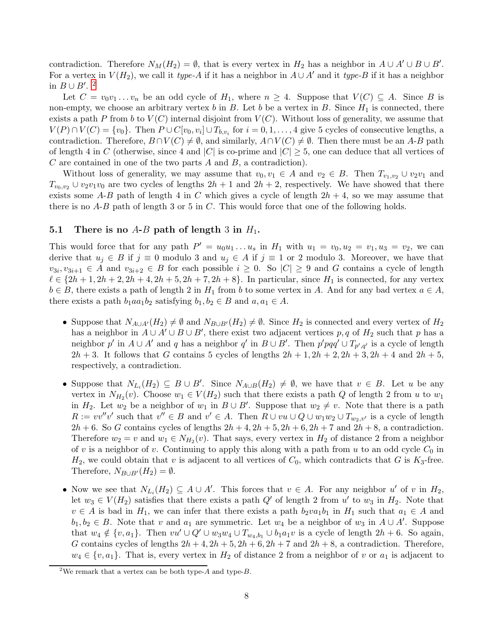contradiction. Therefore  $N_M(H_2) = \emptyset$ , that is every vertex in  $H_2$  has a neighbor in  $A \cup A' \cup B \cup B'$ . For a vertex in  $V(H_2)$ , we call it type-A if it has a neighbor in  $A \cup A'$  and it type-B if it has a neighbor in  $B \cup B'$ .<sup>[2](#page-7-0)</sup>

Let  $C = v_0v_1 \ldots v_n$  be an odd cycle of  $H_1$ , where  $n \geq 4$ . Suppose that  $V(C) \subseteq A$ . Since B is non-empty, we choose an arbitrary vertex b in B. Let b be a vertex in B. Since  $H_1$  is connected, there exists a path P from b to  $V(C)$  internal disjoint from  $V(C)$ . Without loss of generality, we assume that  $V(P) \cap V(C) = \{v_0\}.$  Then  $P \cup C[v_0, v_i] \cup T_{b, v_i}$  for  $i = 0, 1, ..., 4$  give 5 cycles of consecutive lengths, a contradiction. Therefore,  $B \cap V(C) \neq \emptyset$ , and similarly,  $A \cap V(C) \neq \emptyset$ . Then there must be an A-B path of length 4 in C (otherwise, since 4 and |C| is co-prime and  $|C| \geq 5$ , one can deduce that all vertices of  $C$  are contained in one of the two parts  $A$  and  $B$ , a contradiction).

Without loss of generality, we may assume that  $v_0, v_1 \in A$  and  $v_2 \in B$ . Then  $T_{v_1,v_2} \cup v_2v_1$  and  $T_{v_0,v_2} \cup v_2v_1v_0$  are two cycles of lengths  $2h+1$  and  $2h+2$ , respectively. We have showed that there exists some A-B path of length 4 in C which gives a cycle of length  $2h + 4$ , so we may assume that there is no  $A-B$  path of length 3 or 5 in C. This would force that one of the following holds.

#### 5.1 There is no  $A-B$  path of length 3 in  $H_1$ .

This would force that for any path  $P' = u_0u_1 \ldots u_s$  in  $H_1$  with  $u_1 = v_0, u_2 = v_1, u_3 = v_2$ , we can derive that  $u_j \in B$  if  $j \equiv 0$  modulo 3 and  $u_j \in A$  if  $j \equiv 1$  or 2 modulo 3. Moreover, we have that  $v_{3i}, v_{3i+1} \in A$  and  $v_{3i+2} \in B$  for each possible  $i \geq 0$ . So  $|C| \geq 9$  and G contains a cycle of length  $\ell \in \{2h+1, 2h+2, 2h+4, 2h+5, 2h+7, 2h+8\}$ . In particular, since  $H_1$  is connected, for any vertex  $b \in B$ , there exists a path of length 2 in  $H_1$  from b to some vertex in A. And for any bad vertex  $a \in A$ , there exists a path  $b_1aa_1b_2$  satisfying  $b_1, b_2 \in B$  and  $a, a_1 \in A$ .

- Suppose that  $N_{A\cup A'}(H_2) \neq \emptyset$  and  $N_{B\cup B'}(H_2) \neq \emptyset$ . Since  $H_2$  is connected and every vertex of  $H_2$ has a neighbor in  $A \cup A' \cup B \cup B'$ , there exist two adjacent vertices p, q of  $H_2$  such that p has a neighbor p' in  $A \cup A'$  and q has a neighbor q' in  $B \cup B'$ . Then  $p'pqq' \cup T_{p',q'}$  is a cycle of length  $2h + 3$ . It follows that G contains 5 cycles of lengths  $2h + 1$ ,  $2h + 2$ ,  $2h + 3$ ,  $2h + 4$  and  $2h + 5$ , respectively, a contradiction.
- Suppose that  $N_{L_i}(H_2) \subseteq B \cup B'$ . Since  $N_{A \cup B}(H_2) \neq \emptyset$ , we have that  $v \in B$ . Let u be any vertex in  $N_{H_2}(v)$ . Choose  $w_1 \in V(H_2)$  such that there exists a path Q of length 2 from u to  $w_1$ in  $H_2$ . Let  $w_2$  be a neighbor of  $w_1$  in  $B \cup B'$ . Suppose that  $w_2 \neq v$ . Note that there is a path  $R := vv''v'$  such that  $v'' \in B$  and  $v' \in A$ . Then  $R \cup vu \cup Q \cup w_1w_2 \cup T_{w_2,v'}$  is a cycle of length  $2h + 6$ . So G contains cycles of lengths  $2h + 4$ ,  $2h + 5$ ,  $2h + 6$ ,  $2h + 7$  and  $2h + 8$ , a contradiction. Therefore  $w_2 = v$  and  $w_1 \in N_{H_2}(v)$ . That says, every vertex in  $H_2$  of distance 2 from a neighbor of v is a neighbor of v. Continuing to apply this along with a path from u to an odd cycle  $C_0$  in  $H_2$ , we could obtain that v is adjacent to all vertices of  $C_0$ , which contradicts that G is  $K_3$ -free. Therefore,  $N_{B\cup B'}(H_2) = \emptyset$ .
- Now we see that  $N_{L_i}(H_2) \subseteq A \cup A'$ . This forces that  $v \in A$ . For any neighbor u' of v in  $H_2$ , let  $w_3 \in V(H_2)$  satisfies that there exists a path  $Q'$  of length 2 from u' to  $w_3$  in  $H_2$ . Note that  $v \in A$  is bad in  $H_1$ , we can infer that there exists a path  $b_2v a_1b_1$  in  $H_1$  such that  $a_1 \in A$  and  $b_1, b_2 \in B$ . Note that v and  $a_1$  are symmetric. Let  $w_4$  be a neighbor of  $w_3$  in  $A \cup A'$ . Suppose that  $w_4 \notin \{v, a_1\}$ . Then  $vu' \cup Q' \cup w_3w_4 \cup T_{w_4,b_1} \cup b_1a_1v$  is a cycle of length  $2h + 6$ . So again, G contains cycles of lengths  $2h + 4$ ,  $2h + 5$ ,  $2h + 6$ ,  $2h + 7$  and  $2h + 8$ , a contradiction. Therefore,  $w_4 \in \{v, a_1\}$ . That is, every vertex in  $H_2$  of distance 2 from a neighbor of v or  $a_1$  is adjacent to

<span id="page-7-0"></span><sup>&</sup>lt;sup>2</sup>We remark that a vertex can be both type- $A$  and type- $B$ .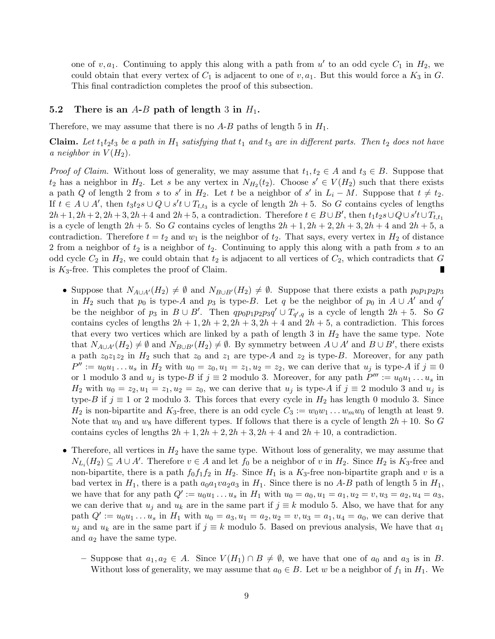one of  $v, a_1$ . Continuing to apply this along with a path from  $u'$  to an odd cycle  $C_1$  in  $H_2$ , we could obtain that every vertex of  $C_1$  is adjacent to one of  $v, a_1$ . But this would force a  $K_3$  in  $G$ . This final contradiction completes the proof of this subsection.

#### 5.2 There is an A-B path of length 3 in  $H_1$ .

Therefore, we may assume that there is no  $A-B$  paths of length 5 in  $H_1$ .

**Claim.** Let  $t_1t_2t_3$  be a path in  $H_1$  satisfying that  $t_1$  and  $t_3$  are in different parts. Then  $t_2$  does not have a neighbor in  $V(H_2)$ .

*Proof of Claim.* Without loss of generality, we may assume that  $t_1, t_2 \in A$  and  $t_3 \in B$ . Suppose that  $t_2$  has a neighbor in  $H_2$ . Let s be any vertex in  $N_{H_2}(t_2)$ . Choose  $s' \in V(H_2)$  such that there exists a path Q of length 2 from s to s' in  $H_2$ . Let t be a neighbor of s' in  $L_i - M$ . Suppose that  $t \neq t_2$ . If  $t \in A \cup A'$ , then  $t_3t_2s \cup Q \cup s't \cup T_{t,t_3}$  is a cycle of length  $2h + 5$ . So G contains cycles of lengths  $2h+1, 2h+2, 2h+3, 2h+4$  and  $2h+5$ , a contradiction. Therefore  $t \in B \cup B'$ , then  $t_1t_2s\cup Q\cup s't\cup T_{t,t_1}$ is a cycle of length  $2h + 5$ . So G contains cycles of lengths  $2h + 1$ ,  $2h + 2$ ,  $2h + 3$ ,  $2h + 4$  and  $2h + 5$ , a contradiction. Therefore  $t = t_2$  and  $w_1$  is the neighbor of  $t_2$ . That says, every vertex in  $H_2$  of distance 2 from a neighbor of  $t_2$  is a neighbor of  $t_2$ . Continuing to apply this along with a path from s to an odd cycle  $C_2$  in  $H_2$ , we could obtain that  $t_2$  is adjacent to all vertices of  $C_2$ , which contradicts that G is  $K_3$ -free. This completes the proof of Claim.

- Suppose that  $N_{A\cup A'}(H_2) \neq \emptyset$  and  $N_{B\cup B'}(H_2) \neq \emptyset$ . Suppose that there exists a path  $p_0p_1p_2p_3$ in  $H_2$  such that  $p_0$  is type-A and  $p_3$  is type-B. Let q be the neighbor of  $p_0$  in  $A \cup A'$  and  $q'$ be the neighbor of  $p_3$  in  $B \cup B'$ . Then  $q p_0 p_1 p_2 p_3 q' \cup T_{q',q}$  is a cycle of length  $2h + 5$ . So G contains cycles of lengths  $2h + 1$ ,  $2h + 2$ ,  $2h + 3$ ,  $2h + 4$  and  $2h + 5$ , a contradiction. This forces that every two vertices which are linked by a path of length 3 in  $H_2$  have the same type. Note that  $N_{A\cup A'}(H_2) \neq \emptyset$  and  $N_{B\cup B'}(H_2) \neq \emptyset$ . By symmetry between  $A\cup A'$  and  $B\cup B'$ , there exists a path  $z_0z_1z_2$  in  $H_2$  such that  $z_0$  and  $z_1$  are type-A and  $z_2$  is type-B. Moreover, for any path  $P'' := u_0 u_1 \dots u_s$  in  $H_2$  with  $u_0 = z_0, u_1 = z_1, u_2 = z_2$ , we can derive that  $u_j$  is type-A if  $j \equiv 0$ or 1 modulo 3 and  $u_j$  is type-B if  $j \equiv 2$  modulo 3. Moreover, for any path  $P''' := u_0 u_1 \dots u_s$  in  $H_2$  with  $u_0 = z_2, u_1 = z_1, u_2 = z_0$ , we can derive that  $u_j$  is type-A if  $j \equiv 2$  modulo 3 and  $u_j$  is type-B if  $j \equiv 1$  or 2 modulo 3. This forces that every cycle in  $H_2$  has length 0 modulo 3. Since  $H_2$  is non-bipartite and  $K_3$ -free, there is an odd cycle  $C_3 := w_0w_1 \dots w_m w_0$  of length at least 9. Note that  $w_0$  and  $w_8$  have different types. If follows that there is a cycle of length  $2h + 10$ . So G contains cycles of lengths  $2h + 1$ ,  $2h + 2$ ,  $2h + 3$ ,  $2h + 4$  and  $2h + 10$ , a contradiction.
- Therefore, all vertices in  $H_2$  have the same type. Without loss of generality, we may assume that  $N_{L_i}(H_2) \subseteq A \cup A'$ . Therefore  $v \in A$  and let  $f_0$  be a neighbor of v in  $H_2$ . Since  $H_2$  is  $K_3$ -free and non-bipartite, there is a path  $f_0f_1f_2$  in  $H_2$ . Since  $H_1$  is a  $K_3$ -free non-bipartite graph and v is a bad vertex in  $H_1$ , there is a path  $a_0a_1va_2a_3$  in  $H_1$ . Since there is no A-B path of length 5 in  $H_1$ , we have that for any path  $Q' := u_0 u_1 \dots u_s$  in  $H_1$  with  $u_0 = a_0, u_1 = a_1, u_2 = v, u_3 = a_2, u_4 = a_3$ , we can derive that  $u_j$  and  $u_k$  are in the same part if  $j \equiv k$  modulo 5. Also, we have that for any path  $Q' := u_0 u_1 \ldots u_s$  in  $H_1$  with  $u_0 = a_3, u_1 = a_2, u_2 = v, u_3 = a_1, u_4 = a_0$ , we can derive that  $u_j$  and  $u_k$  are in the same part if  $j \equiv k$  modulo 5. Based on previous analysis, We have that  $a_1$ and  $a_2$  have the same type.
	- Suppose that  $a_1, a_2 \in A$ . Since  $V(H_1) \cap B \neq \emptyset$ , we have that one of  $a_0$  and  $a_3$  is in B. Without loss of generality, we may assume that  $a_0 \in B$ . Let w be a neighbor of  $f_1$  in  $H_1$ . We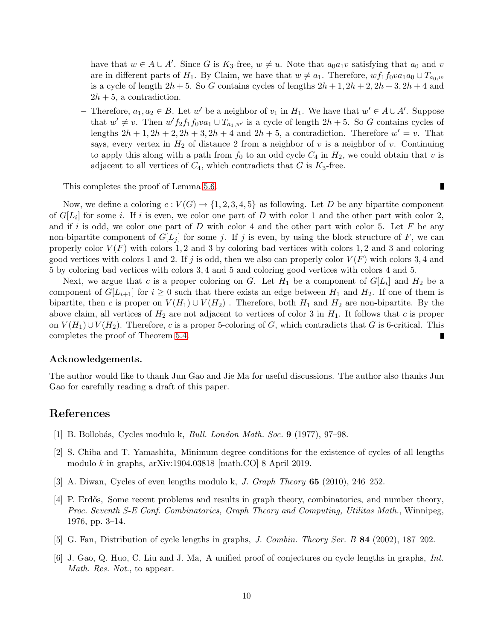have that  $w \in A \cup A'$ . Since G is  $K_3$ -free,  $w \neq u$ . Note that  $a_0a_1v$  satisfying that  $a_0$  and v are in different parts of H<sub>1</sub>. By Claim, we have that  $w \neq a_1$ . Therefore,  $wf_1f_0va_1a_0 \cup T_{a_0,w}$ is a cycle of length  $2h + 5$ . So G contains cycles of lengths  $2h + 1$ ,  $2h + 2$ ,  $2h + 3$ ,  $2h + 4$  and  $2h + 5$ , a contradiction.

− Therefore,  $a_1, a_2 \in B$ . Let w' be a neighbor of  $v_1$  in  $H_1$ . We have that  $w' \in A \cup A'$ . Suppose that  $w' \neq v$ . Then  $w' f_2 f_1 f_0 v a_1 \cup T_{a_1,w'}$  is a cycle of length  $2h + 5$ . So G contains cycles of lengths  $2h + 1$ ,  $2h + 2$ ,  $2h + 3$ ,  $2h + 4$  and  $2h + 5$ , a contradiction. Therefore  $w' = v$ . That says, every vertex in  $H_2$  of distance 2 from a neighbor of v is a neighbor of v. Continuing to apply this along with a path from  $f_0$  to an odd cycle  $C_4$  in  $H_2$ , we could obtain that v is adjacent to all vertices of  $C_4$ , which contradicts that G is  $K_3$ -free.

This completes the proof of Lemma [5.6.](#page-6-4)

Now, we define a coloring  $c: V(G) \to \{1, 2, 3, 4, 5\}$  as following. Let D be any bipartite component of  $G[L_i]$  for some i. If i is even, we color one part of D with color 1 and the other part with color 2, and if i is odd, we color one part of  $D$  with color 4 and the other part with color 5. Let  $F$  be any non-bipartite component of  $G[L_i]$  for some j. If j is even, by using the block structure of F, we can properly color  $V(F)$  with colors 1, 2 and 3 by coloring bad vertices with colors 1, 2 and 3 and coloring good vertices with colors 1 and 2. If j is odd, then we also can properly color  $V(F)$  with colors 3,4 and 5 by coloring bad vertices with colors 3, 4 and 5 and coloring good vertices with colors 4 and 5.

Next, we argue that c is a proper coloring on G. Let  $H_1$  be a component of  $G[L_i]$  and  $H_2$  be a component of  $G[L_{i+1}]$  for  $i \geq 0$  such that there exists an edge between  $H_1$  and  $H_2$ . If one of them is bipartite, then c is proper on  $V(H_1) \cup V(H_2)$ . Therefore, both  $H_1$  and  $H_2$  are non-bipartite. By the above claim, all vertices of  $H_2$  are not adjacent to vertices of color 3 in  $H_1$ . It follows that c is proper on  $V(H_1) \cup V(H_2)$ . Therefore, c is a proper 5-coloring of G, which contradicts that G is 6-critical. This completes the proof of Theorem [5.4.](#page-6-5)

#### Acknowledgements.

The author would like to thank Jun Gao and Jie Ma for useful discussions. The author also thanks Jun Gao for carefully reading a draft of this paper.

### <span id="page-9-0"></span>References

- [1] B. Bollobás, Cycles modulo k, *Bull. London Math. Soc.* 9 (1977), 97–98.
- [2] S. Chiba and T. Yamashita, Minimum degree conditions for the existence of cycles of all lengths modulo k in graphs, arXiv:1904.03818 [math.CO] 8 April 2019.
- [3] A. Diwan, Cycles of even lengths modulo k, J. Graph Theory 65 (2010), 246–252.
- [4] P. Erdős, Some recent problems and results in graph theory, combinatorics, and number theory, Proc. Seventh S-E Conf. Combinatorics, Graph Theory and Computing, Utilitas Math., Winnipeg, 1976, pp. 3–14.
- [5] G. Fan, Distribution of cycle lengths in graphs, J. Combin. Theory Ser. B 84 (2002), 187–202.
- [6] J. Gao, Q. Huo, C. Liu and J. Ma, A unified proof of conjectures on cycle lengths in graphs, Int. Math. Res. Not., to appear.

 $\blacksquare$